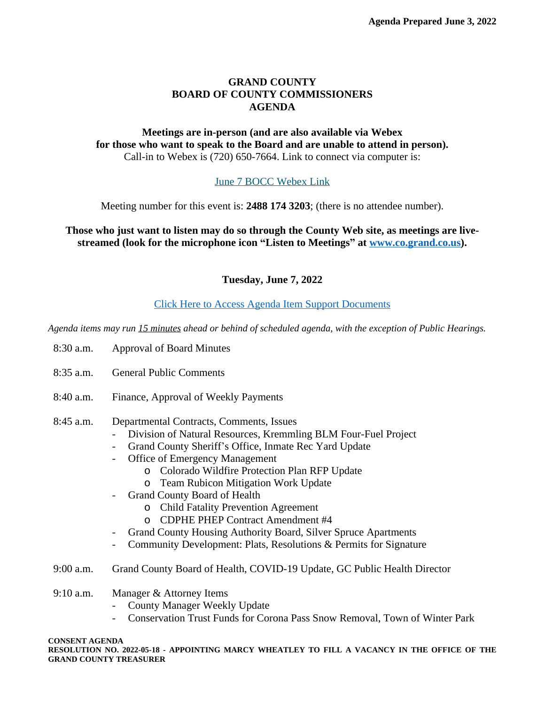### **GRAND COUNTY BOARD OF COUNTY COMMISSIONERS AGENDA**

### **Meetings are in-person (and are also available via Webex for those who want to speak to the Board and are unable to attend in person).** Call-in to Webex is (720) 650-7664. Link to connect via computer is:

# [June 7 BOCC Webex Link](https://grandcounty.webex.com/grandcounty/j.php?MTID=md23ee4a8a14821651a998a4a28ef038b)

[Meeting number for this event is:](https://grandcounty.webex.com/grandcounty/j.php?MTID=md23ee4a8a14821651a998a4a28ef038b) **[2488 174 3203](https://grandcounty.webex.com/grandcounty/j.php?MTID=md23ee4a8a14821651a998a4a28ef038b)**[; \(there is no attendee number\).](https://grandcounty.webex.com/grandcounty/j.php?MTID=md23ee4a8a14821651a998a4a28ef038b)

**[Those who just want to listen may do so through the County Web site, as meetings are live](https://grandcounty.webex.com/grandcounty/j.php?MTID=md23ee4a8a14821651a998a4a28ef038b)[streamed \(look for the microphone icon](https://grandcounty.webex.com/grandcounty/j.php?MTID=md23ee4a8a14821651a998a4a28ef038b) "Listen to Meetings" [at](https://grandcounty.webex.com/grandcounty/j.php?MTID=md23ee4a8a14821651a998a4a28ef038b) [www.co.grand.co.us\)](http://www.co.grand.co.us).**

**Tuesday, June 7, 2022**

# [Click Here to Access Agenda Item Support Documents](https://grandco.box.com/v/boccsupporteddocuments)

*[Agenda items may run 15 minutes ahead or behind of scheduled agenda, with the exception of Public Hearings.](https://grandco.box.com/v/boccsupporteddocuments)*

- [8:30 a.m.](https://grandco.box.com/v/boccsupporteddocuments) [Approval of Board Minutes](https://grandco.box.com/v/boccsupporteddocuments)
- [8:35 a.m.](https://grandco.box.com/v/boccsupporteddocuments) [General Public Comments](https://grandco.box.com/v/boccsupporteddocuments)
- [8:40 a.m.](https://grandco.box.com/v/boccsupporteddocuments) [Finance, Approval of Weekly Payments](https://grandco.box.com/v/boccsupporteddocuments)
- [8:45](https://grandco.box.com/v/boccsupporteddocuments) [a.m.](https://grandco.box.com/v/boccsupporteddocuments) [Departmental Contracts, Comments, Issues](https://grandco.box.com/v/boccsupporteddocuments)
	- [Division of Natural Resources, Kremmling BLM Four-Fuel Project](https://grandco.box.com/v/boccsupporteddocuments)
	- Grand County Sheriff'[s Office, Inmate Rec Yard Update](https://grandco.box.com/v/boccsupporteddocuments)
	- [Office of Emergency Management](https://grandco.box.com/v/boccsupporteddocuments)
		- o [Colorado Wildfire Protection Plan RFP Update](https://grandco.box.com/v/boccsupporteddocuments)
		- o [Team Rubicon Mitigation Work Update](https://grandco.box.com/v/boccsupporteddocuments)
	- [Grand County Board of Health](https://grandco.box.com/v/boccsupporteddocuments)
		- o [Child Fatality Prevention Agreement](https://grandco.box.com/v/boccsupporteddocuments)
		- o [CDPHE PHEP Contract Amendment #4](https://grandco.box.com/v/boccsupporteddocuments)
	- [Grand County Housing Authority Board, Silver Spruce Apartments](https://grandco.box.com/v/boccsupporteddocuments)
	- [Community Development: Plats, Resolutions & Permits for Signature](https://grandco.box.com/v/boccsupporteddocuments)
- [9:00 a.m.](https://grandco.box.com/v/boccsupporteddocuments) [Grand County Board of Health, COVID-19 Update, GC Public Health Director](https://grandco.box.com/v/boccsupporteddocuments)
- [9:10 a.m.](https://grandco.box.com/v/boccsupporteddocuments) [Manager & Attorney Items](https://grandco.box.com/v/boccsupporteddocuments)
	- [County Manager Weekly Update](https://grandco.box.com/v/boccsupporteddocuments)
	- [Conservation Trust Funds for Corona Pass Snow Removal, Town of Winter Park](https://grandco.box.com/v/boccsupporteddocuments)

#### **[CONSENT AGENDA](https://grandco.box.com/v/boccsupporteddocuments)**